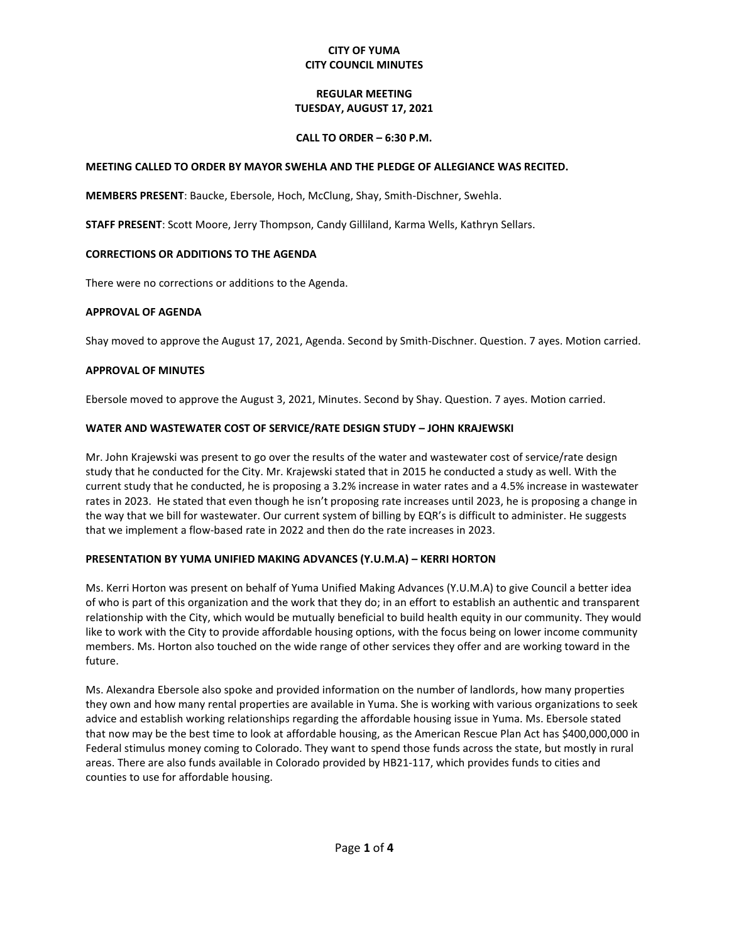# **CITY OF YUMA CITY COUNCIL MINUTES**

# **REGULAR MEETING TUESDAY, AUGUST 17, 2021**

## **CALL TO ORDER – 6:30 P.M.**

# **MEETING CALLED TO ORDER BY MAYOR SWEHLA AND THE PLEDGE OF ALLEGIANCE WAS RECITED.**

**MEMBERS PRESENT**: Baucke, Ebersole, Hoch, McClung, Shay, Smith-Dischner, Swehla.

**STAFF PRESENT**: Scott Moore, Jerry Thompson, Candy Gilliland, Karma Wells, Kathryn Sellars.

# **CORRECTIONS OR ADDITIONS TO THE AGENDA**

There were no corrections or additions to the Agenda.

# **APPROVAL OF AGENDA**

Shay moved to approve the August 17, 2021, Agenda. Second by Smith-Dischner. Question. 7 ayes. Motion carried.

# **APPROVAL OF MINUTES**

Ebersole moved to approve the August 3, 2021, Minutes. Second by Shay. Question. 7 ayes. Motion carried.

# **WATER AND WASTEWATER COST OF SERVICE/RATE DESIGN STUDY – JOHN KRAJEWSKI**

Mr. John Krajewski was present to go over the results of the water and wastewater cost of service/rate design study that he conducted for the City. Mr. Krajewski stated that in 2015 he conducted a study as well. With the current study that he conducted, he is proposing a 3.2% increase in water rates and a 4.5% increase in wastewater rates in 2023. He stated that even though he isn't proposing rate increases until 2023, he is proposing a change in the way that we bill for wastewater. Our current system of billing by EQR's is difficult to administer. He suggests that we implement a flow-based rate in 2022 and then do the rate increases in 2023.

### **PRESENTATION BY YUMA UNIFIED MAKING ADVANCES (Y.U.M.A) – KERRI HORTON**

Ms. Kerri Horton was present on behalf of Yuma Unified Making Advances (Y.U.M.A) to give Council a better idea of who is part of this organization and the work that they do; in an effort to establish an authentic and transparent relationship with the City, which would be mutually beneficial to build health equity in our community. They would like to work with the City to provide affordable housing options, with the focus being on lower income community members. Ms. Horton also touched on the wide range of other services they offer and are working toward in the future.

Ms. Alexandra Ebersole also spoke and provided information on the number of landlords, how many properties they own and how many rental properties are available in Yuma. She is working with various organizations to seek advice and establish working relationships regarding the affordable housing issue in Yuma. Ms. Ebersole stated that now may be the best time to look at affordable housing, as the American Rescue Plan Act has \$400,000,000 in Federal stimulus money coming to Colorado. They want to spend those funds across the state, but mostly in rural areas. There are also funds available in Colorado provided by HB21-117, which provides funds to cities and counties to use for affordable housing.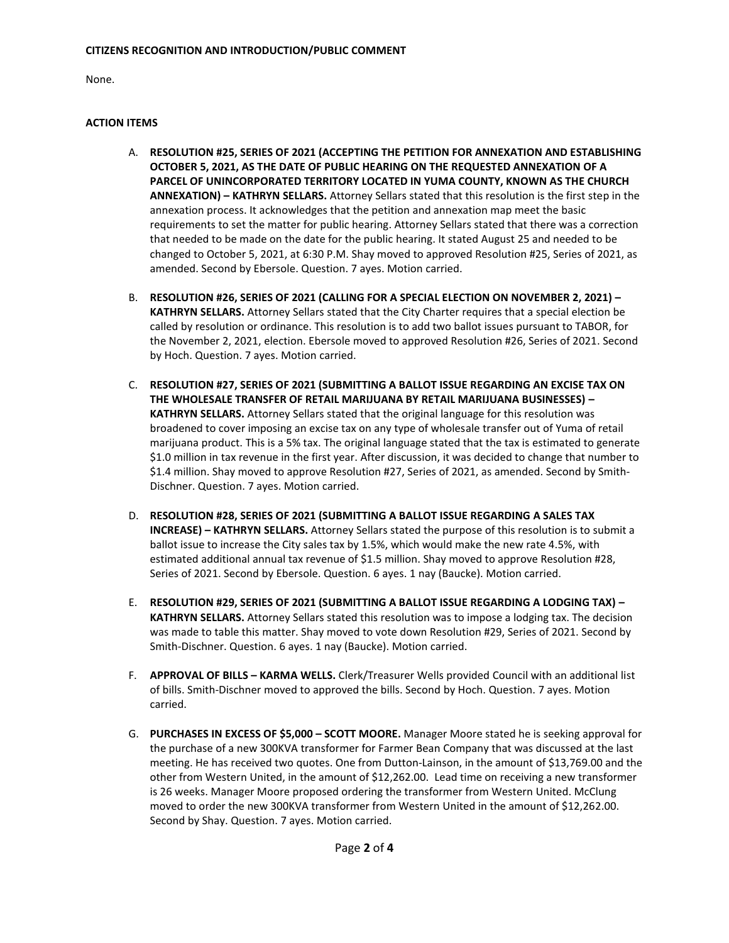None.

# **ACTION ITEMS**

- A. **RESOLUTION #25, SERIES OF 2021 (ACCEPTING THE PETITION FOR ANNEXATION AND ESTABLISHING OCTOBER 5, 2021, AS THE DATE OF PUBLIC HEARING ON THE REQUESTED ANNEXATION OF A PARCEL OF UNINCORPORATED TERRITORY LOCATED IN YUMA COUNTY, KNOWN AS THE CHURCH ANNEXATION) – KATHRYN SELLARS.** Attorney Sellars stated that this resolution is the first step in the annexation process. It acknowledges that the petition and annexation map meet the basic requirements to set the matter for public hearing. Attorney Sellars stated that there was a correction that needed to be made on the date for the public hearing. It stated August 25 and needed to be changed to October 5, 2021, at 6:30 P.M. Shay moved to approved Resolution #25, Series of 2021, as amended. Second by Ebersole. Question. 7 ayes. Motion carried.
- B. **RESOLUTION #26, SERIES OF 2021 (CALLING FOR A SPECIAL ELECTION ON NOVEMBER 2, 2021) – KATHRYN SELLARS.** Attorney Sellars stated that the City Charter requires that a special election be called by resolution or ordinance. This resolution is to add two ballot issues pursuant to TABOR, for the November 2, 2021, election. Ebersole moved to approved Resolution #26, Series of 2021. Second by Hoch. Question. 7 ayes. Motion carried.
- C. **RESOLUTION #27, SERIES OF 2021 (SUBMITTING A BALLOT ISSUE REGARDING AN EXCISE TAX ON THE WHOLESALE TRANSFER OF RETAIL MARIJUANA BY RETAIL MARIJUANA BUSINESSES) – KATHRYN SELLARS.** Attorney Sellars stated that the original language for this resolution was broadened to cover imposing an excise tax on any type of wholesale transfer out of Yuma of retail marijuana product. This is a 5% tax. The original language stated that the tax is estimated to generate \$1.0 million in tax revenue in the first year. After discussion, it was decided to change that number to \$1.4 million. Shay moved to approve Resolution #27, Series of 2021, as amended. Second by Smith-Dischner. Question. 7 ayes. Motion carried.
- D. **RESOLUTION #28, SERIES OF 2021 (SUBMITTING A BALLOT ISSUE REGARDING A SALES TAX INCREASE) – KATHRYN SELLARS.** Attorney Sellars stated the purpose of this resolution is to submit a ballot issue to increase the City sales tax by 1.5%, which would make the new rate 4.5%, with estimated additional annual tax revenue of \$1.5 million. Shay moved to approve Resolution #28, Series of 2021. Second by Ebersole. Question. 6 ayes. 1 nay (Baucke). Motion carried.
- E. **RESOLUTION #29, SERIES OF 2021 (SUBMITTING A BALLOT ISSUE REGARDING A LODGING TAX) – KATHRYN SELLARS.** Attorney Sellars stated this resolution was to impose a lodging tax. The decision was made to table this matter. Shay moved to vote down Resolution #29, Series of 2021. Second by Smith-Dischner. Question. 6 ayes. 1 nay (Baucke). Motion carried.
- F. **APPROVAL OF BILLS – KARMA WELLS.** Clerk/Treasurer Wells provided Council with an additional list of bills. Smith-Dischner moved to approved the bills. Second by Hoch. Question. 7 ayes. Motion carried.
- G. **PURCHASES IN EXCESS OF \$5,000 – SCOTT MOORE.** Manager Moore stated he is seeking approval for the purchase of a new 300KVA transformer for Farmer Bean Company that was discussed at the last meeting. He has received two quotes. One from Dutton-Lainson, in the amount of \$13,769.00 and the other from Western United, in the amount of \$12,262.00. Lead time on receiving a new transformer is 26 weeks. Manager Moore proposed ordering the transformer from Western United. McClung moved to order the new 300KVA transformer from Western United in the amount of \$12,262.00. Second by Shay. Question. 7 ayes. Motion carried.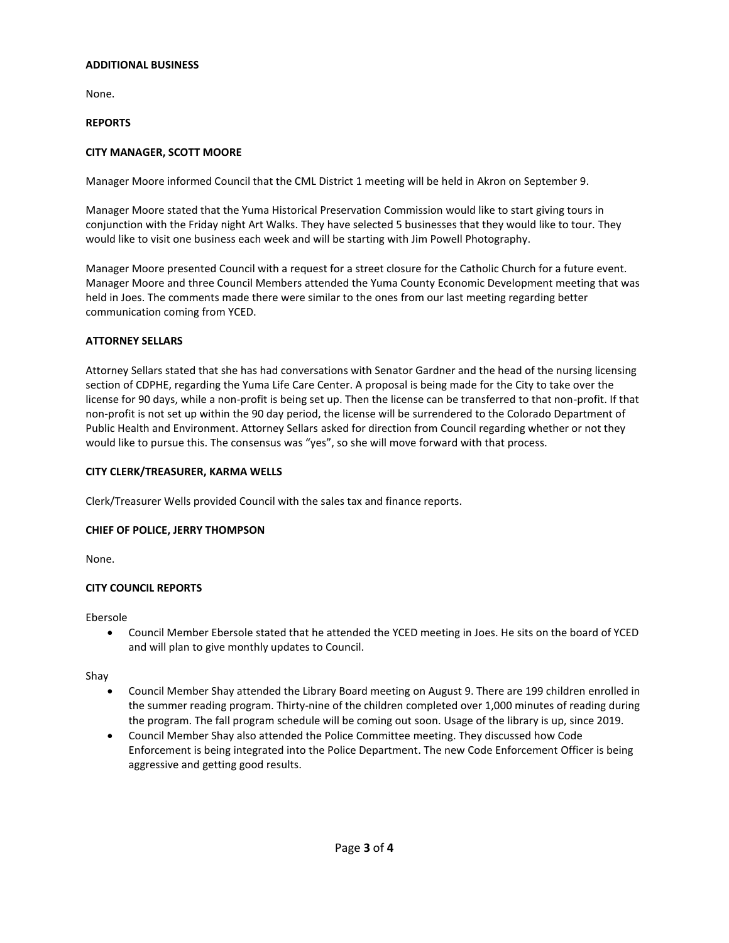#### **ADDITIONAL BUSINESS**

None.

## **REPORTS**

# **CITY MANAGER, SCOTT MOORE**

Manager Moore informed Council that the CML District 1 meeting will be held in Akron on September 9.

Manager Moore stated that the Yuma Historical Preservation Commission would like to start giving tours in conjunction with the Friday night Art Walks. They have selected 5 businesses that they would like to tour. They would like to visit one business each week and will be starting with Jim Powell Photography.

Manager Moore presented Council with a request for a street closure for the Catholic Church for a future event. Manager Moore and three Council Members attended the Yuma County Economic Development meeting that was held in Joes. The comments made there were similar to the ones from our last meeting regarding better communication coming from YCED.

### **ATTORNEY SELLARS**

Attorney Sellars stated that she has had conversations with Senator Gardner and the head of the nursing licensing section of CDPHE, regarding the Yuma Life Care Center. A proposal is being made for the City to take over the license for 90 days, while a non-profit is being set up. Then the license can be transferred to that non-profit. If that non-profit is not set up within the 90 day period, the license will be surrendered to the Colorado Department of Public Health and Environment. Attorney Sellars asked for direction from Council regarding whether or not they would like to pursue this. The consensus was "yes", so she will move forward with that process.

## **CITY CLERK/TREASURER, KARMA WELLS**

Clerk/Treasurer Wells provided Council with the sales tax and finance reports.

# **CHIEF OF POLICE, JERRY THOMPSON**

None.

# **CITY COUNCIL REPORTS**

Ebersole

• Council Member Ebersole stated that he attended the YCED meeting in Joes. He sits on the board of YCED and will plan to give monthly updates to Council.

Shay

- Council Member Shay attended the Library Board meeting on August 9. There are 199 children enrolled in the summer reading program. Thirty-nine of the children completed over 1,000 minutes of reading during the program. The fall program schedule will be coming out soon. Usage of the library is up, since 2019.
- Council Member Shay also attended the Police Committee meeting. They discussed how Code Enforcement is being integrated into the Police Department. The new Code Enforcement Officer is being aggressive and getting good results.